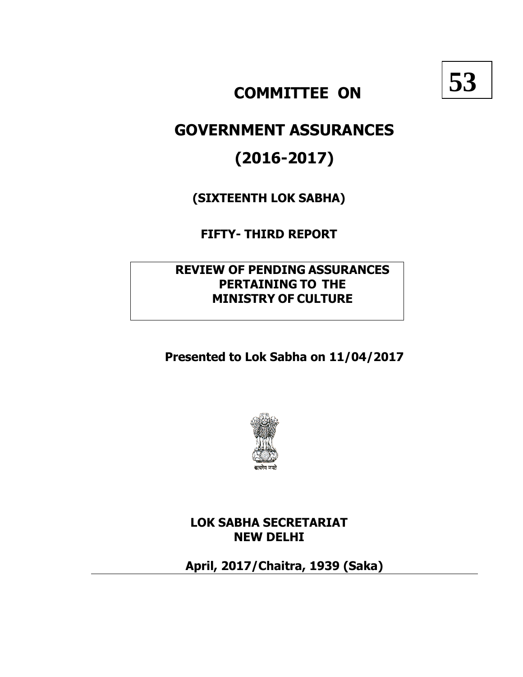

# **COMMITTEE ON**

# **GOVERNMENT ASSURANCES**

# **(2016-2017)**

**(SIXTEENTH LOK SABHA)**

**FIFTY- THIRD REPORT**

**REVIEW OF PENDING ASSURANCES PERTAINING TO THE MINISTRY OF CULTURE**

**Presented to Lok Sabha on 11/04/2017**



**LOK SABHA SECRETARIAT NEW DELHI**

**April, 2017/Chaitra, 1939 (Saka)**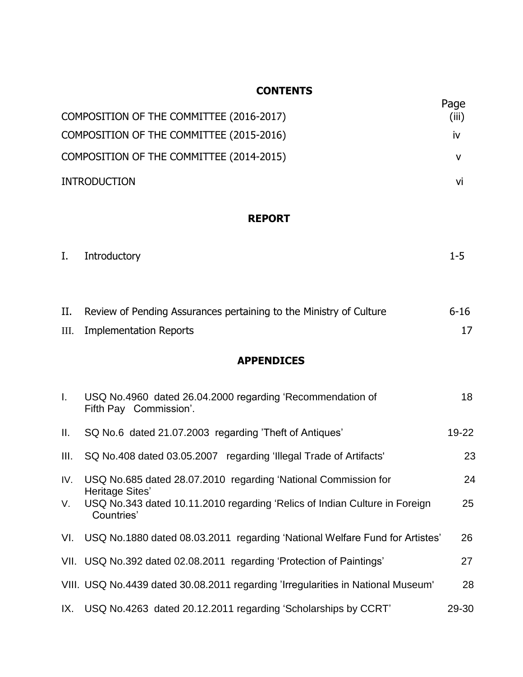# **CONTENTS**

|                                          | Page      |
|------------------------------------------|-----------|
| COMPOSITION OF THE COMMITTEE (2016-2017) | (iii)     |
| COMPOSITION OF THE COMMITTEE (2015-2016) | <b>IV</b> |
| COMPOSITION OF THE COMMITTEE (2014-2015) |           |
| <b>INTRODUCTION</b>                      | VI        |

# **REPORT**

| I. Introductory | 1-5. |  |
|-----------------|------|--|
|                 |      |  |

| II. Review of Pending Assurances pertaining to the Ministry of Culture | $6 - 16$ |
|------------------------------------------------------------------------|----------|
| III. Implementation Reports                                            |          |

# **APPENDICES**

| Ι.   | USQ No.4960 dated 26.04.2000 regarding 'Recommendation of<br>Fifth Pay Commission'.                         | 18        |
|------|-------------------------------------------------------------------------------------------------------------|-----------|
| Ш.   | SQ No.6 dated 21.07.2003 regarding 'Theft of Antiques'                                                      | $19 - 22$ |
| III. | SQ No.408 dated 03.05.2007 regarding 'Illegal Trade of Artifacts'                                           | 23        |
| IV.  | USQ No.685 dated 28.07.2010 regarding 'National Commission for                                              | 24        |
| V.   | Heritage Sites'<br>USQ No.343 dated 10.11.2010 regarding 'Relics of Indian Culture in Foreign<br>Countries' | 25        |
|      | VI. USQ No.1880 dated 08.03.2011 regarding 'National Welfare Fund for Artistes'                             | 26        |
|      | VII. USQ No.392 dated 02.08.2011 regarding 'Protection of Paintings'                                        | 27        |
|      | VIII. USQ No.4439 dated 30.08.2011 regarding 'Irregularities in National Museum'                            | 28        |
|      | IX. USQ No.4263 dated 20.12.2011 regarding 'Scholarships by CCRT'                                           | 29-30     |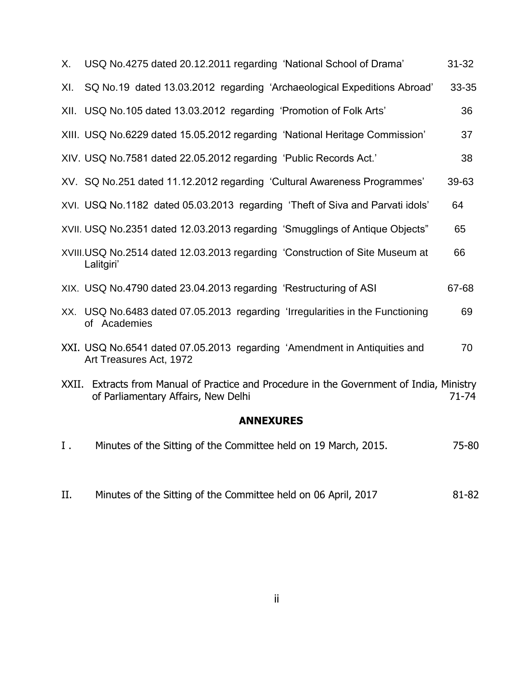| Х.    | USQ No.4275 dated 20.12.2011 regarding 'National School of Drama'                                                          | $31 - 32$ |
|-------|----------------------------------------------------------------------------------------------------------------------------|-----------|
| XI.   | SQ No.19 dated 13.03.2012 regarding 'Archaeological Expeditions Abroad'                                                    | 33-35     |
|       | XII. USQ No.105 dated 13.03.2012 regarding 'Promotion of Folk Arts'                                                        | 36        |
|       | XIII. USQ No.6229 dated 15.05.2012 regarding 'National Heritage Commission'                                                | 37        |
|       | XIV. USQ No.7581 dated 22.05.2012 regarding 'Public Records Act.'                                                          | 38        |
|       | XV. SQ No.251 dated 11.12.2012 regarding 'Cultural Awareness Programmes'                                                   | 39-63     |
|       | XVI. USQ No.1182 dated 05.03.2013 regarding 'Theft of Siva and Parvati idols'                                              | 64        |
|       | XVII. USQ No.2351 dated 12.03.2013 regarding 'Smugglings of Antique Objects"                                               | 65        |
|       | XVIII.USQ No.2514 dated 12.03.2013 regarding 'Construction of Site Museum at<br>Lalitgiri'                                 | 66        |
|       | XIX. USQ No.4790 dated 23.04.2013 regarding 'Restructuring of ASI                                                          | 67-68     |
|       | XX. USQ No.6483 dated 07.05.2013 regarding 'Irregularities in the Functioning<br>of Academies                              | 69        |
|       | XXI. USQ No.6541 dated 07.05.2013 regarding 'Amendment in Antiquities and<br>Art Treasures Act, 1972                       | 70        |
| XXII. | Extracts from Manual of Practice and Procedure in the Government of India, Ministry<br>of Parliamentary Affairs, New Delhi | $71 - 74$ |
|       | <b>ANNEXURES</b>                                                                                                           |           |
| Ι.    | Minutes of the Sitting of the Committee held on 19 March, 2015.                                                            | 75-80     |

II. Minutes of the Sitting of the Committee held on 06 April, 2017 81-82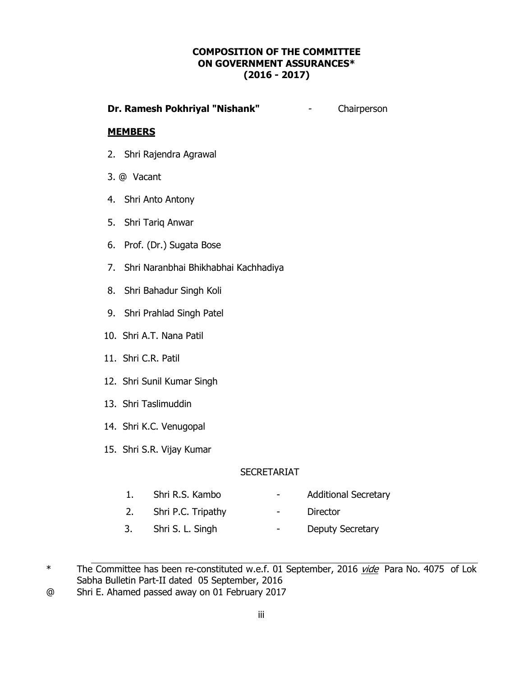#### **COMPOSITION OF THE COMMITTEE ON GOVERNMENT ASSURANCES\* (2016 - 2017)**

#### **Dr. Ramesh Pokhriyal "Nishank"** - Chairperson

#### **MEMBERS**

- 2. Shri Rajendra Agrawal
- 3. @ Vacant
- 4. Shri Anto Antony
- 5. Shri Tariq Anwar
- 6. Prof. (Dr.) Sugata Bose
- 7. Shri Naranbhai Bhikhabhai Kachhadiya
- 8. Shri Bahadur Singh Koli
- 9. Shri Prahlad Singh Patel
- 10. Shri A.T. Nana Patil
- 11. Shri C.R. Patil
- 12. Shri Sunil Kumar Singh
- 13. Shri Taslimuddin
- 14. Shri K.C. Venugopal
- 15. Shri S.R. Vijay Kumar

#### SECRETARIAT

- 1. Shri R.S. Kambo  **Additional Secretary** 
	-
- 2. Shri P.C. Tripathy **-** Director
- 3. Shri S. L. Singh Deputy Secretary

@ Shri E. Ahamed passed away on 01 February 2017

<sup>\*</sup> The Committee has been re-constituted w.e.f. 01 September, 2016 vide Para No. 4075 of Lok Sabha Bulletin Part-II dated 05 September, 2016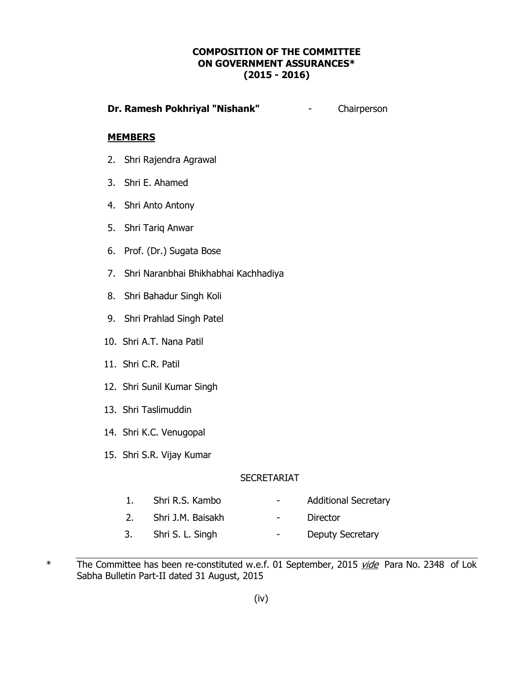#### **COMPOSITION OF THE COMMITTEE ON GOVERNMENT ASSURANCES\* (2015 - 2016)**

#### **Dr. Ramesh Pokhriyal "Nishank"** - Chairperson

#### **MEMBERS**

- 2. Shri Rajendra Agrawal
- 3. Shri E. Ahamed
- 4. Shri Anto Antony
- 5. Shri Tariq Anwar
- 6. Prof. (Dr.) Sugata Bose
- 7. Shri Naranbhai Bhikhabhai Kachhadiya
- 8. Shri Bahadur Singh Koli
- 9. Shri Prahlad Singh Patel
- 10. Shri A.T. Nana Patil
- 11. Shri C.R. Patil
- 12. Shri Sunil Kumar Singh
- 13. Shri Taslimuddin
- 14. Shri K.C. Venugopal
- 15. Shri S.R. Vijay Kumar

#### **SECRETARIAT**

- 
- 1. Shri R.S. Kambo  **Additional Secretary**
- 2. Shri J.M. Baisakh Director
	-
- 3. Shri S. L. Singh Deputy Secretary

\* The Committee has been re-constituted w.e.f. 01 September, 2015 vide Para No. 2348 of Lok Sabha Bulletin Part-II dated 31 August, 2015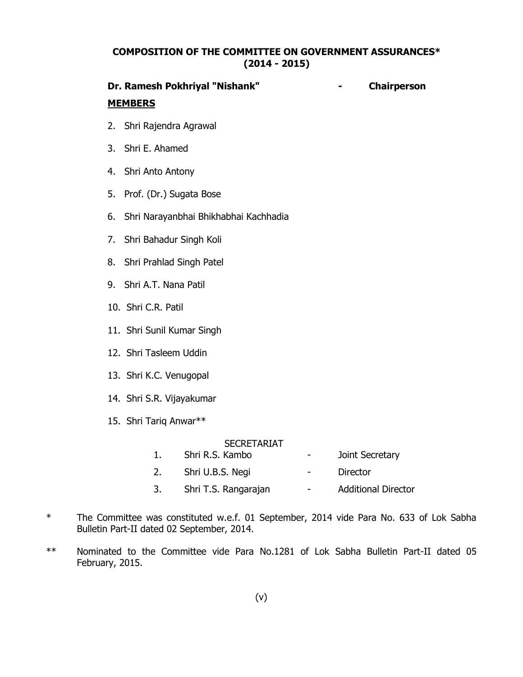#### **COMPOSITION OF THE COMMITTEE ON GOVERNMENT ASSURANCES\* (2014 - 2015)**

# **Dr. Ramesh Pokhriyal "Nishank" - Chairperson MEMBERS**

- 2. Shri Rajendra Agrawal
- 3. Shri E. Ahamed
- 4. Shri Anto Antony
- 5. Prof. (Dr.) Sugata Bose
- 6. Shri Narayanbhai Bhikhabhai Kachhadia
- 7. Shri Bahadur Singh Koli
- 8. Shri Prahlad Singh Patel
- 9. Shri A.T. Nana Patil
- 10. Shri C.R. Patil
- 11. Shri Sunil Kumar Singh
- 12. Shri Tasleem Uddin
- 13. Shri K.C. Venugopal
- 14. Shri S.R. Vijayakumar
- 15. Shri Tariq Anwar\*\*

#### SECRETARIAT

- 1. Shri R.S. Kambo  **Joint Secretary**
- 2. Shri U.B.S. Negi Director
- 3. Shri T.S. Rangarajan Additional Director
- \* The Committee was constituted w.e.f. 01 September, 2014 vide Para No. 633 of Lok Sabha Bulletin Part-II dated 02 September, 2014.
- \*\* Nominated to the Committee vide Para No.1281 of Lok Sabha Bulletin Part-II dated 05 February, 2015.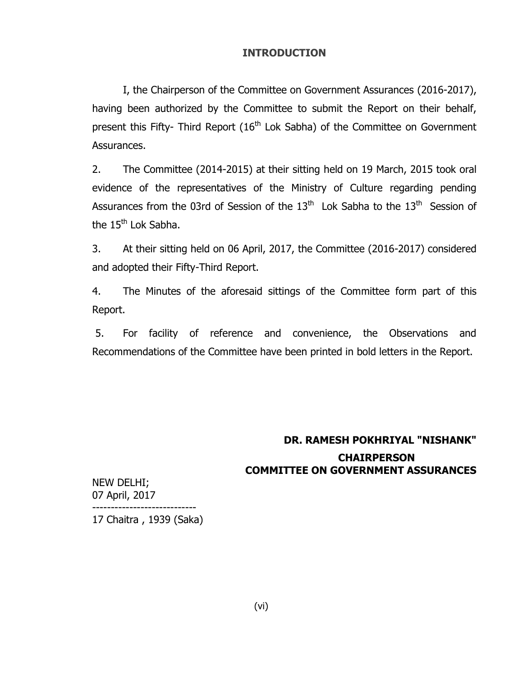#### **INTRODUCTION**

I, the Chairperson of the Committee on Government Assurances (2016-2017), having been authorized by the Committee to submit the Report on their behalf, present this Fifty- Third Report  $(16<sup>th</sup>$  Lok Sabha) of the Committee on Government Assurances.

2. The Committee (2014-2015) at their sitting held on 19 March, 2015 took oral evidence of the representatives of the Ministry of Culture regarding pending Assurances from the 03rd of Session of the 13<sup>th</sup> Lok Sabha to the 13<sup>th</sup> Session of the 15<sup>th</sup> Lok Sabha.

3. At their sitting held on 06 April, 2017, the Committee (2016-2017) considered and adopted their Fifty-Third Report.

4. The Minutes of the aforesaid sittings of the Committee form part of this Report.

5. For facility of reference and convenience, the Observations and Recommendations of the Committee have been printed in bold letters in the Report.

# **DR. RAMESH POKHRIYAL "NISHANK" CHAIRPERSON COMMITTEE ON GOVERNMENT ASSURANCES**

NEW DELHI; 07 April, 2017 ---------------------------- 17 Chaitra , 1939 (Saka)

(vi)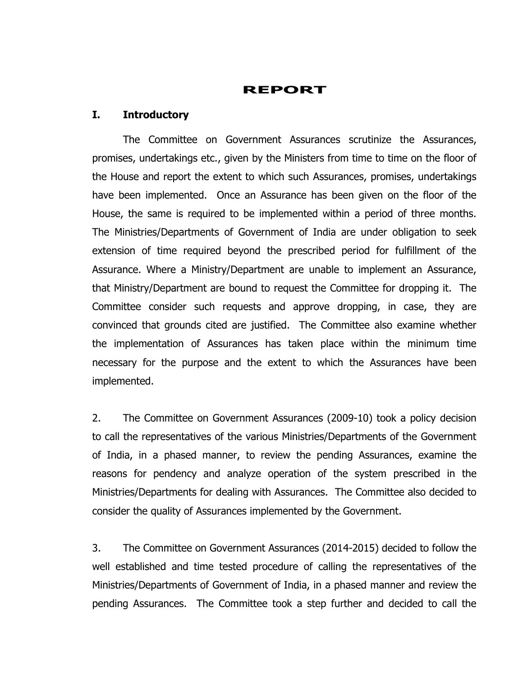## **REPORT**

#### **I. Introductory**

The Committee on Government Assurances scrutinize the Assurances, promises, undertakings etc., given by the Ministers from time to time on the floor of the House and report the extent to which such Assurances, promises, undertakings have been implemented. Once an Assurance has been given on the floor of the House, the same is required to be implemented within a period of three months. The Ministries/Departments of Government of India are under obligation to seek extension of time required beyond the prescribed period for fulfillment of the Assurance. Where a Ministry/Department are unable to implement an Assurance, that Ministry/Department are bound to request the Committee for dropping it. The Committee consider such requests and approve dropping, in case, they are convinced that grounds cited are justified. The Committee also examine whether the implementation of Assurances has taken place within the minimum time necessary for the purpose and the extent to which the Assurances have been implemented.

2. The Committee on Government Assurances (2009-10) took a policy decision to call the representatives of the various Ministries/Departments of the Government of India, in a phased manner, to review the pending Assurances, examine the reasons for pendency and analyze operation of the system prescribed in the Ministries/Departments for dealing with Assurances. The Committee also decided to consider the quality of Assurances implemented by the Government.

3. The Committee on Government Assurances (2014-2015) decided to follow the well established and time tested procedure of calling the representatives of the Ministries/Departments of Government of India, in a phased manner and review the pending Assurances. The Committee took a step further and decided to call the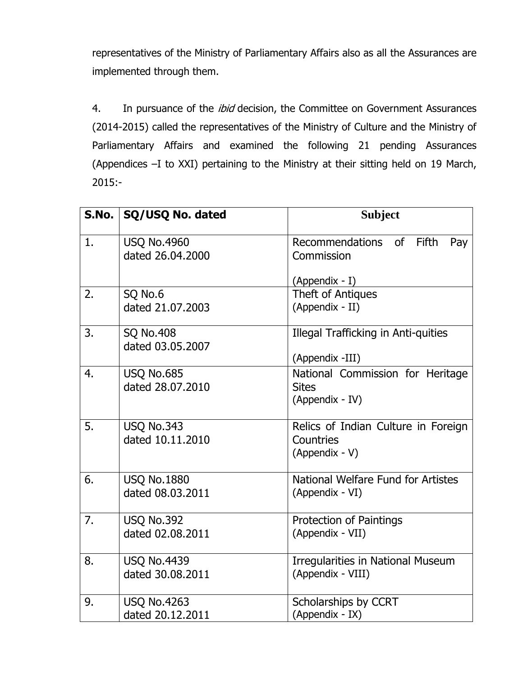representatives of the Ministry of Parliamentary Affairs also as all the Assurances are implemented through them.

4. In pursuance of the *ibid* decision, the Committee on Government Assurances (2014-2015) called the representatives of the Ministry of Culture and the Ministry of Parliamentary Affairs and examined the following 21 pending Assurances (Appendices –I to XXI) pertaining to the Ministry at their sitting held on 19 March, 2015:-

|    | S.No.   SQ/USQ No. dated               | <b>Subject</b>                                                      |
|----|----------------------------------------|---------------------------------------------------------------------|
| 1. | <b>USQ No.4960</b><br>dated 26.04.2000 | Fifth<br>Recommendations of<br>Pay<br>Commission                    |
| 2. | SQ No.6<br>dated 21.07.2003            | (Appendix - I)<br>Theft of Antiques<br>(Appendix - II)              |
| 3. | <b>SQ No.408</b><br>dated 03.05.2007   | Illegal Trafficking in Anti-quities<br>(Appendix -III)              |
| 4. | <b>USQ No.685</b><br>dated 28.07.2010  | National Commission for Heritage<br><b>Sites</b><br>(Appendix - IV) |
| 5. | <b>USQ No.343</b><br>dated 10.11.2010  | Relics of Indian Culture in Foreign<br>Countries<br>(Appendix - V)  |
| 6. | <b>USQ No.1880</b><br>dated 08.03.2011 | National Welfare Fund for Artistes<br>(Appendix - VI)               |
| 7. | <b>USQ No.392</b><br>dated 02.08.2011  | <b>Protection of Paintings</b><br>(Appendix - VII)                  |
| 8. | <b>USQ No.4439</b><br>dated 30.08.2011 | <b>Irregularities in National Museum</b><br>(Appendix - VIII)       |
| 9. | <b>USQ No.4263</b><br>dated 20.12.2011 | Scholarships by CCRT<br>(Appendix - IX)                             |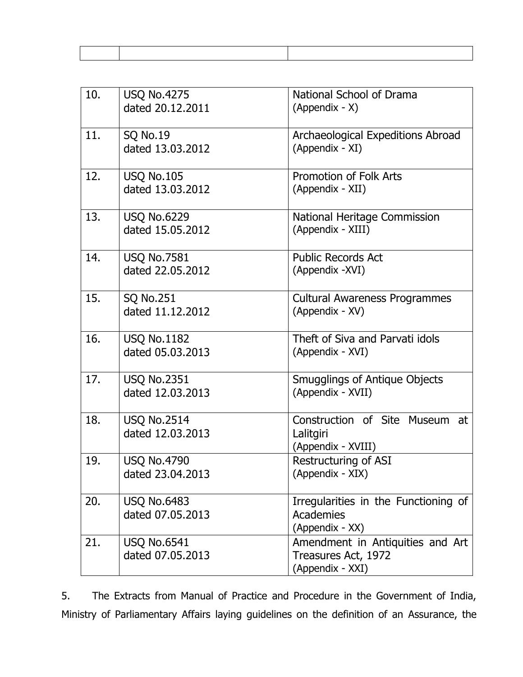| 10. | <b>USQ No.4275</b><br>dated 20.12.2011 | National School of Drama<br>(Appendix - X)                                  |
|-----|----------------------------------------|-----------------------------------------------------------------------------|
| 11. | <b>SQ No.19</b><br>dated 13.03.2012    | Archaeological Expeditions Abroad<br>(Appendix - XI)                        |
| 12. | <b>USQ No.105</b><br>dated 13.03.2012  | <b>Promotion of Folk Arts</b><br>(Appendix - XII)                           |
| 13. | <b>USQ No.6229</b><br>dated 15.05.2012 | National Heritage Commission<br>(Appendix - XIII)                           |
| 14. | <b>USQ No.7581</b><br>dated 22.05.2012 | <b>Public Records Act</b><br>(Appendix -XVI)                                |
| 15. | <b>SQ No.251</b><br>dated 11.12.2012   | <b>Cultural Awareness Programmes</b><br>(Appendix - XV)                     |
| 16. | <b>USQ No.1182</b><br>dated 05.03.2013 | Theft of Siva and Parvati idols<br>(Appendix - XVI)                         |
| 17. | <b>USQ No.2351</b><br>dated 12.03.2013 | <b>Smugglings of Antique Objects</b><br>(Appendix - XVII)                   |
| 18. | <b>USQ No.2514</b><br>dated 12.03.2013 | Construction of Site Museum<br>at<br>Lalitgiri<br>(Appendix - XVIII)        |
| 19. | <b>USQ No.4790</b><br>dated 23.04.2013 | <b>Restructuring of ASI</b><br>(Appendix - XIX)                             |
| 20. | <b>USQ No.6483</b><br>dated 07.05.2013 | Irregularities in the Functioning of<br>Academies<br>(Appendix - XX)        |
| 21. | <b>USQ No.6541</b><br>dated 07.05.2013 | Amendment in Antiquities and Art<br>Treasures Act, 1972<br>(Appendix - XXI) |

5. The Extracts from Manual of Practice and Procedure in the Government of India, Ministry of Parliamentary Affairs laying guidelines on the definition of an Assurance, the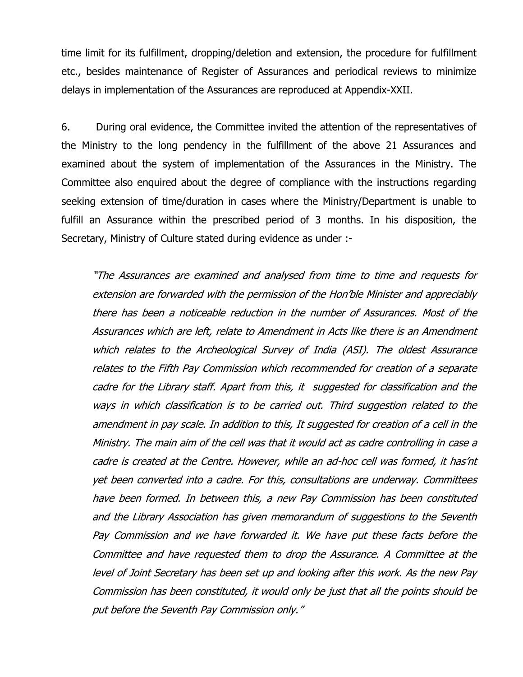time limit for its fulfillment, dropping/deletion and extension, the procedure for fulfillment etc., besides maintenance of Register of Assurances and periodical reviews to minimize delays in implementation of the Assurances are reproduced at Appendix-XXII.

6. During oral evidence, the Committee invited the attention of the representatives of the Ministry to the long pendency in the fulfillment of the above 21 Assurances and examined about the system of implementation of the Assurances in the Ministry. The Committee also enquired about the degree of compliance with the instructions regarding seeking extension of time/duration in cases where the Ministry/Department is unable to fulfill an Assurance within the prescribed period of 3 months. In his disposition, the Secretary, Ministry of Culture stated during evidence as under :-

"The Assurances are examined and analysed from time to time and requests for extension are forwarded with the permission of the Hon"ble Minister and appreciably there has been a noticeable reduction in the number of Assurances. Most of the Assurances which are left, relate to Amendment in Acts like there is an Amendment which relates to the Archeological Survey of India (ASI). The oldest Assurance relates to the Fifth Pay Commission which recommended for creation of a separate cadre for the Library staff. Apart from this, it suggested for classification and the ways in which classification is to be carried out. Third suggestion related to the amendment in pay scale. In addition to this, It suggested for creation of a cell in the Ministry. The main aim of the cell was that it would act as cadre controlling in case a cadre is created at the Centre. However, while an ad-hoc cell was formed, it has"nt yet been converted into a cadre. For this, consultations are underway. Committees have been formed. In between this, a new Pay Commission has been constituted and the Library Association has given memorandum of suggestions to the Seventh Pay Commission and we have forwarded it. We have put these facts before the Committee and have requested them to drop the Assurance. A Committee at the level of Joint Secretary has been set up and looking after this work. As the new Pay Commission has been constituted, it would only be just that all the points should be put before the Seventh Pay Commission only."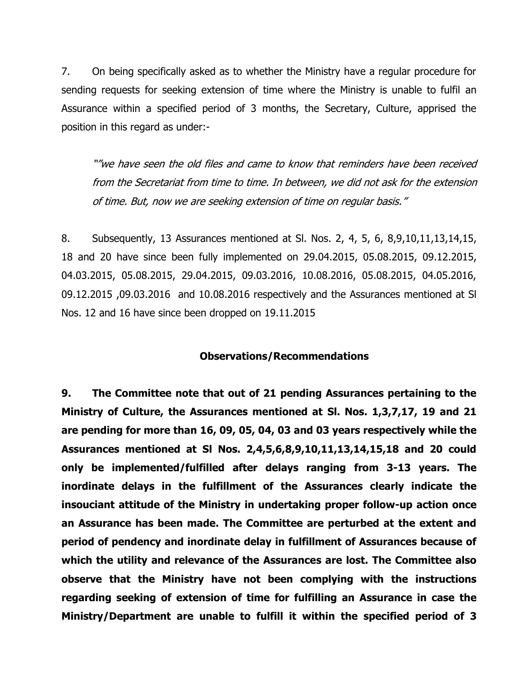7. On being specifically asked as to whether the Ministry have a regular procedure for sending requests for seeking extension of time where the Ministry is unable to fulfil an Assurance within a specified period of 3 months, the Secretary, Culture, apprised the position in this regard as under:-

""we have seen the old files and came to know that reminders have been received from the Secretariat from time to time. In between, we did not ask for the extension of time. But, now we are seeking extension of time on regular basis."

8. Subsequently, 13 Assurances mentioned at Sl. Nos. 2, 4, 5, 6, 8,9,10,11,13,14,15, 18 and 20 have since been fully implemented on 29.04.2015, 05.08.2015, 09.12.2015, 04.03.2015, 05.08.2015, 29.04.2015, 09.03.2016, 10.08.2016, 05.08.2015, 04.05.2016, 09.12.2015 ,09.03.2016 and 10.08.2016 respectively and the Assurances mentioned at Sl Nos. 12 and 16 have since been dropped on 19.11.2015

#### **Observations/Recommendations**

**9. The Committee note that out of 21 pending Assurances pertaining to the Ministry of Culture, the Assurances mentioned at Sl. Nos. 1,3,7,17, 19 and 21 are pending for more than 16, 09, 05, 04, 03 and 03 years respectively while the Assurances mentioned at Sl Nos. 2,4,5,6,8,9,10,11,13,14,15,18 and 20 could only be implemented/fulfilled after delays ranging from 3-13 years. The inordinate delays in the fulfillment of the Assurances clearly indicate the insouciant attitude of the Ministry in undertaking proper follow-up action once an Assurance has been made. The Committee are perturbed at the extent and period of pendency and inordinate delay in fulfillment of Assurances because of which the utility and relevance of the Assurances are lost. The Committee also observe that the Ministry have not been complying with the instructions regarding seeking of extension of time for fulfilling an Assurance in case the Ministry/Department are unable to fulfill it within the specified period of 3**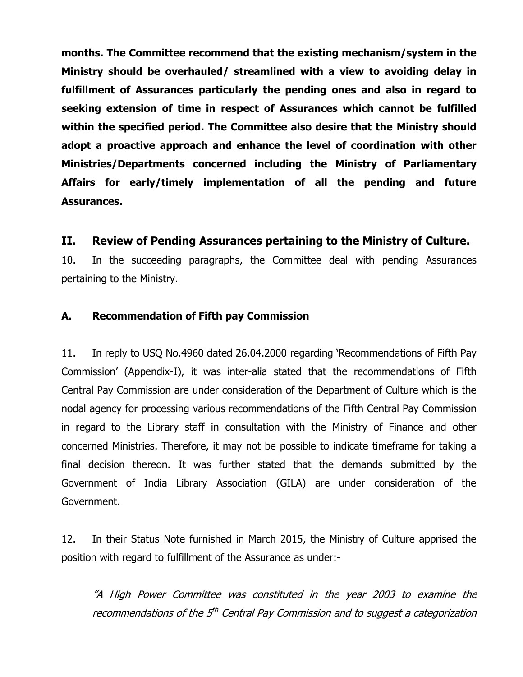**months. The Committee recommend that the existing mechanism/system in the Ministry should be overhauled/ streamlined with a view to avoiding delay in fulfillment of Assurances particularly the pending ones and also in regard to seeking extension of time in respect of Assurances which cannot be fulfilled within the specified period. The Committee also desire that the Ministry should adopt a proactive approach and enhance the level of coordination with other Ministries/Departments concerned including the Ministry of Parliamentary Affairs for early/timely implementation of all the pending and future Assurances.**

## **II. Review of Pending Assurances pertaining to the Ministry of Culture.**

10. In the succeeding paragraphs, the Committee deal with pending Assurances pertaining to the Ministry.

#### **A. Recommendation of Fifth pay Commission**

11. In reply to USQ No.4960 dated 26.04.2000 regarding "Recommendations of Fifth Pay Commission" (Appendix-I), it was inter-alia stated that the recommendations of Fifth Central Pay Commission are under consideration of the Department of Culture which is the nodal agency for processing various recommendations of the Fifth Central Pay Commission in regard to the Library staff in consultation with the Ministry of Finance and other concerned Ministries. Therefore, it may not be possible to indicate timeframe for taking a final decision thereon. It was further stated that the demands submitted by the Government of India Library Association (GILA) are under consideration of the Government.

12. In their Status Note furnished in March 2015, the Ministry of Culture apprised the position with regard to fulfillment of the Assurance as under:-

"A High Power Committee was constituted in the year 2003 to examine the recommendations of the 5<sup>th</sup> Central Pay Commission and to suggest a categorization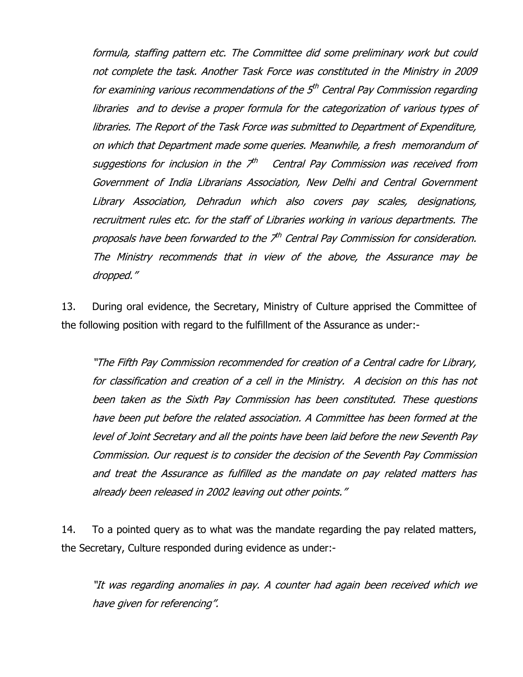formula, staffing pattern etc. The Committee did some preliminary work but could not complete the task. Another Task Force was constituted in the Ministry in 2009 for examining various recommendations of the 5<sup>th</sup> Central Pay Commission regarding libraries and to devise a proper formula for the categorization of various types of libraries. The Report of the Task Force was submitted to Department of Expenditure, on which that Department made some queries. Meanwhile, a fresh memorandum of suggestions for inclusion in the  $Z^{th}$  Central Pay Commission was received from Government of India Librarians Association, New Delhi and Central Government Library Association, Dehradun which also covers pay scales, designations, recruitment rules etc. for the staff of Libraries working in various departments. The proposals have been forwarded to the 7<sup>th</sup> Central Pay Commission for consideration. The Ministry recommends that in view of the above, the Assurance may be dropped."

13. During oral evidence, the Secretary, Ministry of Culture apprised the Committee of the following position with regard to the fulfillment of the Assurance as under:-

"The Fifth Pay Commission recommended for creation of a Central cadre for Library, for classification and creation of a cell in the Ministry. A decision on this has not been taken as the Sixth Pay Commission has been constituted. These questions have been put before the related association. A Committee has been formed at the level of Joint Secretary and all the points have been laid before the new Seventh Pay Commission. Our request is to consider the decision of the Seventh Pay Commission and treat the Assurance as fulfilled as the mandate on pay related matters has already been released in 2002 leaving out other points."

14. To a pointed query as to what was the mandate regarding the pay related matters, the Secretary, Culture responded during evidence as under:-

"It was regarding anomalies in pay. A counter had again been received which we have given for referencing".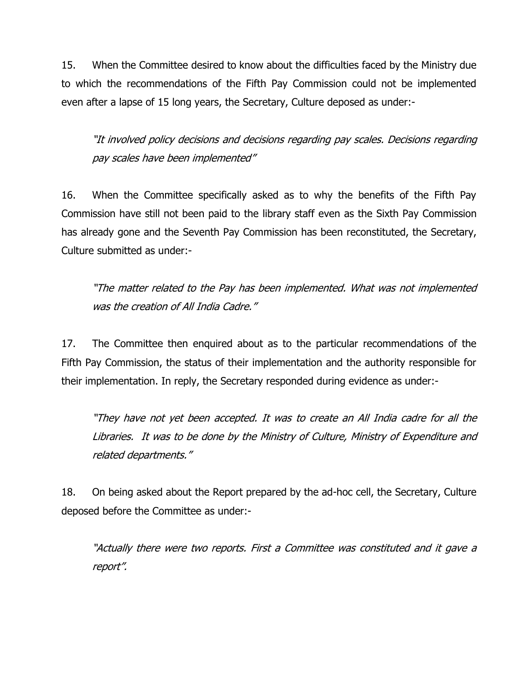15. When the Committee desired to know about the difficulties faced by the Ministry due to which the recommendations of the Fifth Pay Commission could not be implemented even after a lapse of 15 long years, the Secretary, Culture deposed as under:-

"It involved policy decisions and decisions regarding pay scales. Decisions regarding pay scales have been implemented"

16. When the Committee specifically asked as to why the benefits of the Fifth Pay Commission have still not been paid to the library staff even as the Sixth Pay Commission has already gone and the Seventh Pay Commission has been reconstituted, the Secretary, Culture submitted as under:-

"The matter related to the Pay has been implemented. What was not implemented was the creation of All India Cadre."

17. The Committee then enquired about as to the particular recommendations of the Fifth Pay Commission, the status of their implementation and the authority responsible for their implementation. In reply, the Secretary responded during evidence as under:-

"They have not yet been accepted. It was to create an All India cadre for all the Libraries. It was to be done by the Ministry of Culture, Ministry of Expenditure and related departments."

18. On being asked about the Report prepared by the ad-hoc cell, the Secretary, Culture deposed before the Committee as under:-

"Actually there were two reports. First a Committee was constituted and it gave a report".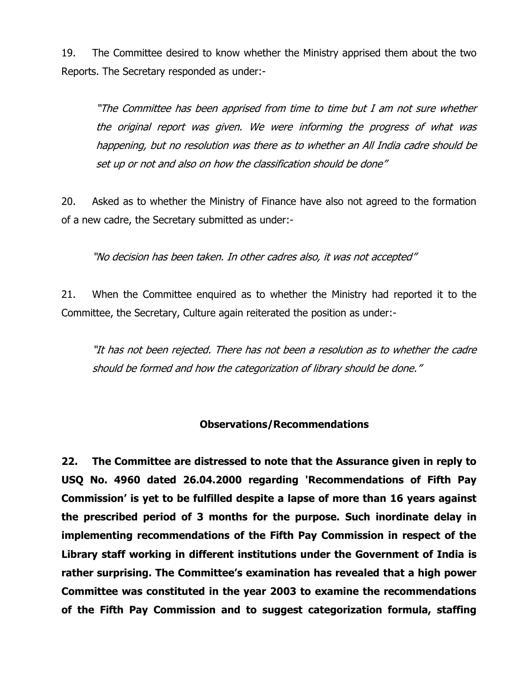19. The Committee desired to know whether the Ministry apprised them about the two Reports. The Secretary responded as under:-

"The Committee has been apprised from time to time but I am not sure whether the original report was given. We were informing the progress of what was happening, but no resolution was there as to whether an All India cadre should be set up or not and also on how the classification should be done"

20. Asked as to whether the Ministry of Finance have also not agreed to the formation of a new cadre, the Secretary submitted as under:-

"No decision has been taken. In other cadres also, it was not accepted"

21. When the Committee enquired as to whether the Ministry had reported it to the Committee, the Secretary, Culture again reiterated the position as under:-

"It has not been rejected. There has not been a resolution as to whether the cadre should be formed and how the categorization of library should be done."

#### **Observations/Recommendations**

**22. The Committee are distressed to note that the Assurance given in reply to USQ No. 4960 dated 26.04.2000 regarding 'Recommendations of Fifth Pay Commission' is yet to be fulfilled despite a lapse of more than 16 years against the prescribed period of 3 months for the purpose. Such inordinate delay in implementing recommendations of the Fifth Pay Commission in respect of the Library staff working in different institutions under the Government of India is rather surprising. The Committee's examination has revealed that a high power Committee was constituted in the year 2003 to examine the recommendations of the Fifth Pay Commission and to suggest categorization formula, staffing**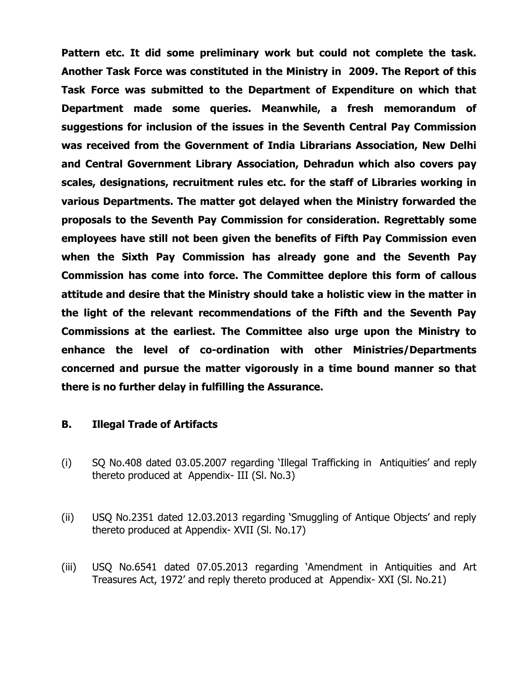**Pattern etc. It did some preliminary work but could not complete the task. Another Task Force was constituted in the Ministry in 2009. The Report of this Task Force was submitted to the Department of Expenditure on which that Department made some queries. Meanwhile, a fresh memorandum of suggestions for inclusion of the issues in the Seventh Central Pay Commission was received from the Government of India Librarians Association, New Delhi and Central Government Library Association, Dehradun which also covers pay scales, designations, recruitment rules etc. for the staff of Libraries working in various Departments. The matter got delayed when the Ministry forwarded the proposals to the Seventh Pay Commission for consideration. Regrettably some employees have still not been given the benefits of Fifth Pay Commission even when the Sixth Pay Commission has already gone and the Seventh Pay Commission has come into force. The Committee deplore this form of callous attitude and desire that the Ministry should take a holistic view in the matter in the light of the relevant recommendations of the Fifth and the Seventh Pay Commissions at the earliest. The Committee also urge upon the Ministry to enhance the level of co-ordination with other Ministries/Departments concerned and pursue the matter vigorously in a time bound manner so that there is no further delay in fulfilling the Assurance.**

#### **B. Illegal Trade of Artifacts**

- (i) SQ No.408 dated 03.05.2007 regarding "Illegal Trafficking in Antiquities" and reply thereto produced at Appendix- III (Sl. No.3)
- (ii) USQ No.2351 dated 12.03.2013 regarding "Smuggling of Antique Objects" and reply thereto produced at Appendix- XVII (Sl. No.17)
- (iii) USQ No.6541 dated 07.05.2013 regarding "Amendment in Antiquities and Art Treasures Act, 1972" and reply thereto produced at Appendix- XXI (Sl. No.21)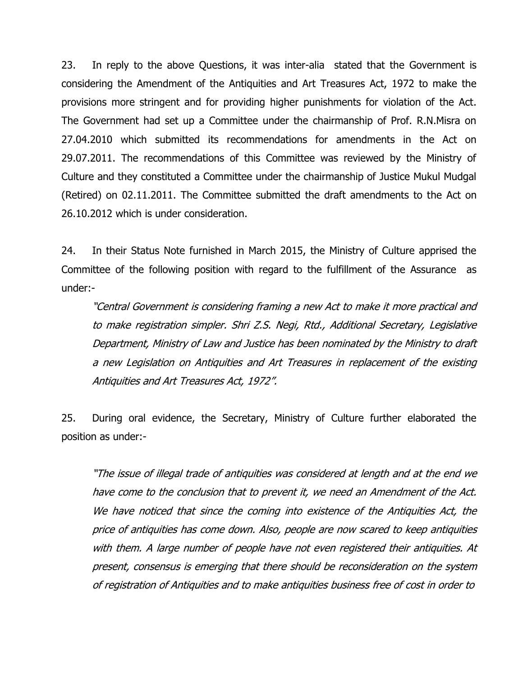23. In reply to the above Questions, it was inter-alia stated that the Government is considering the Amendment of the Antiquities and Art Treasures Act, 1972 to make the provisions more stringent and for providing higher punishments for violation of the Act. The Government had set up a Committee under the chairmanship of Prof. R.N.Misra on 27.04.2010 which submitted its recommendations for amendments in the Act on 29.07.2011. The recommendations of this Committee was reviewed by the Ministry of Culture and they constituted a Committee under the chairmanship of Justice Mukul Mudgal (Retired) on 02.11.2011. The Committee submitted the draft amendments to the Act on 26.10.2012 which is under consideration.

24. In their Status Note furnished in March 2015, the Ministry of Culture apprised the Committee of the following position with regard to the fulfillment of the Assurance as under:-

"Central Government is considering framing a new Act to make it more practical and to make registration simpler. Shri Z.S. Negi, Rtd., Additional Secretary, Legislative Department, Ministry of Law and Justice has been nominated by the Ministry to draft a new Legislation on Antiquities and Art Treasures in replacement of the existing Antiquities and Art Treasures Act, 1972".

25. During oral evidence, the Secretary, Ministry of Culture further elaborated the position as under:-

"The issue of illegal trade of antiquities was considered at length and at the end we have come to the conclusion that to prevent it, we need an Amendment of the Act. We have noticed that since the coming into existence of the Antiquities Act, the price of antiquities has come down. Also, people are now scared to keep antiquities with them. A large number of people have not even registered their antiquities. At present, consensus is emerging that there should be reconsideration on the system of registration of Antiquities and to make antiquities business free of cost in order to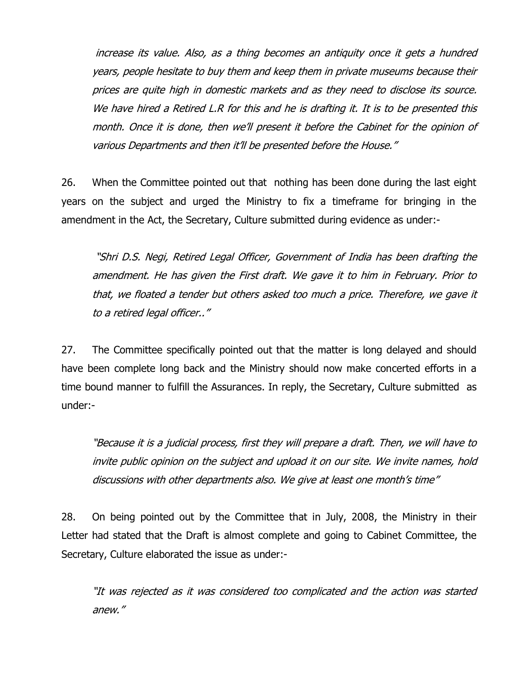increase its value. Also, as a thing becomes an antiquity once it gets a hundred years, people hesitate to buy them and keep them in private museums because their prices are quite high in domestic markets and as they need to disclose its source. We have hired a Retired L.R for this and he is drafting it. It is to be presented this month. Once it is done, then we"ll present it before the Cabinet for the opinion of various Departments and then it"ll be presented before the House."

26. When the Committee pointed out that nothing has been done during the last eight years on the subject and urged the Ministry to fix a timeframe for bringing in the amendment in the Act, the Secretary, Culture submitted during evidence as under:-

"Shri D.S. Negi, Retired Legal Officer, Government of India has been drafting the amendment. He has given the First draft. We gave it to him in February. Prior to that, we floated a tender but others asked too much a price. Therefore, we gave it to a retired legal officer.."

27. The Committee specifically pointed out that the matter is long delayed and should have been complete long back and the Ministry should now make concerted efforts in a time bound manner to fulfill the Assurances. In reply, the Secretary, Culture submitted as under:-

"Because it is a judicial process, first they will prepare a draft. Then, we will have to invite public opinion on the subject and upload it on our site. We invite names, hold discussions with other departments also. We give at least one month's time"

28. On being pointed out by the Committee that in July, 2008, the Ministry in their Letter had stated that the Draft is almost complete and going to Cabinet Committee, the Secretary, Culture elaborated the issue as under:-

"It was rejected as it was considered too complicated and the action was started anew."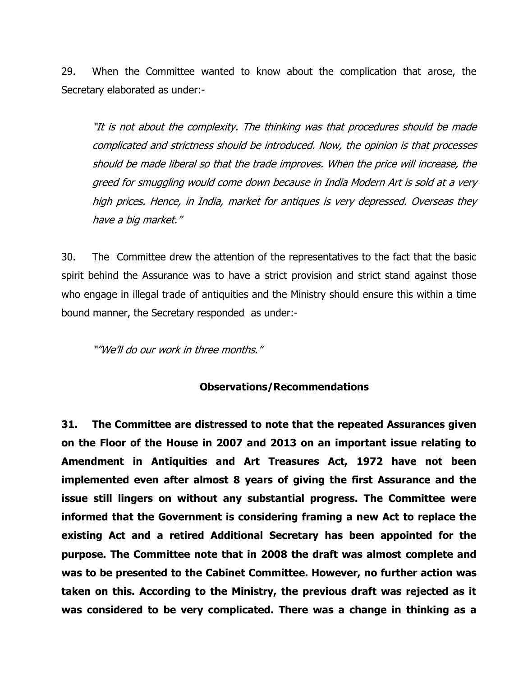29. When the Committee wanted to know about the complication that arose, the Secretary elaborated as under:-

"It is not about the complexity. The thinking was that procedures should be made complicated and strictness should be introduced. Now, the opinion is that processes should be made liberal so that the trade improves. When the price will increase, the greed for smuggling would come down because in India Modern Art is sold at <sup>a</sup> very high prices. Hence, in India, market for antiques is very depressed. Overseas they have a big market."

30. The Committee drew the attention of the representatives to the fact that the basic spirit behind the Assurance was to have a strict provision and strict stand against those who engage in illegal trade of antiquities and the Ministry should ensure this within a time bound manner, the Secretary responded as under:-

""We"ll do our work in three months."

#### **Observations/Recommendations**

**31. The Committee are distressed to note that the repeated Assurances given on the Floor of the House in 2007 and 2013 on an important issue relating to Amendment in Antiquities and Art Treasures Act, 1972 have not been implemented even after almost 8 years of giving the first Assurance and the issue still lingers on without any substantial progress. The Committee were informed that the Government is considering framing a new Act to replace the existing Act and a retired Additional Secretary has been appointed for the purpose. The Committee note that in 2008 the draft was almost complete and was to be presented to the Cabinet Committee. However, no further action was taken on this. According to the Ministry, the previous draft was rejected as it was considered to be very complicated. There was a change in thinking as a**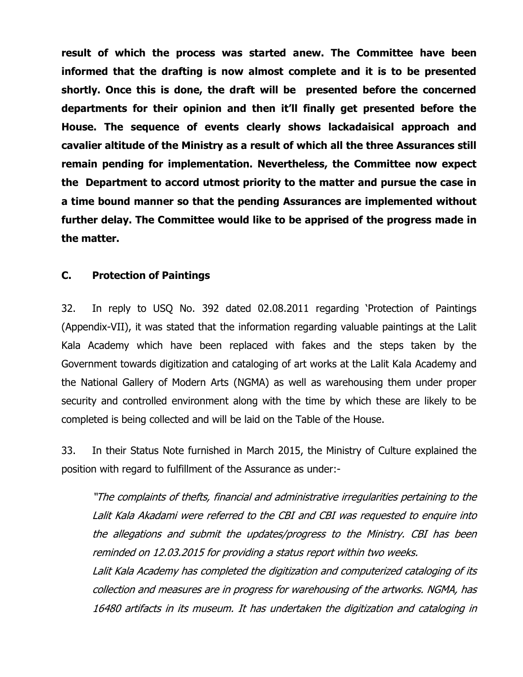**result of which the process was started anew. The Committee have been informed that the drafting is now almost complete and it is to be presented shortly. Once this is done, the draft will be presented before the concerned departments for their opinion and then it'll finally get presented before the House. The sequence of events clearly shows lackadaisical approach and cavalier altitude of the Ministry as a result of which all the three Assurances still remain pending for implementation. Nevertheless, the Committee now expect the Department to accord utmost priority to the matter and pursue the case in a time bound manner so that the pending Assurances are implemented without further delay. The Committee would like to be apprised of the progress made in the matter.** 

### **C. Protection of Paintings**

32. In reply to USQ No. 392 dated 02.08.2011 regarding "Protection of Paintings (Appendix-VII), it was stated that the information regarding valuable paintings at the Lalit Kala Academy which have been replaced with fakes and the steps taken by the Government towards digitization and cataloging of art works at the Lalit Kala Academy and the National Gallery of Modern Arts (NGMA) as well as warehousing them under proper security and controlled environment along with the time by which these are likely to be completed is being collected and will be laid on the Table of the House.

33. In their Status Note furnished in March 2015, the Ministry of Culture explained the position with regard to fulfillment of the Assurance as under:-

"The complaints of thefts, financial and administrative irregularities pertaining to the Lalit Kala Akadami were referred to the CBI and CBI was requested to enquire into the allegations and submit the updates/progress to the Ministry. CBI has been reminded on 12.03.2015 for providing a status report within two weeks.

Lalit Kala Academy has completed the digitization and computerized cataloging of its collection and measures are in progress for warehousing of the artworks. NGMA, has 16480 artifacts in its museum. It has undertaken the digitization and cataloging in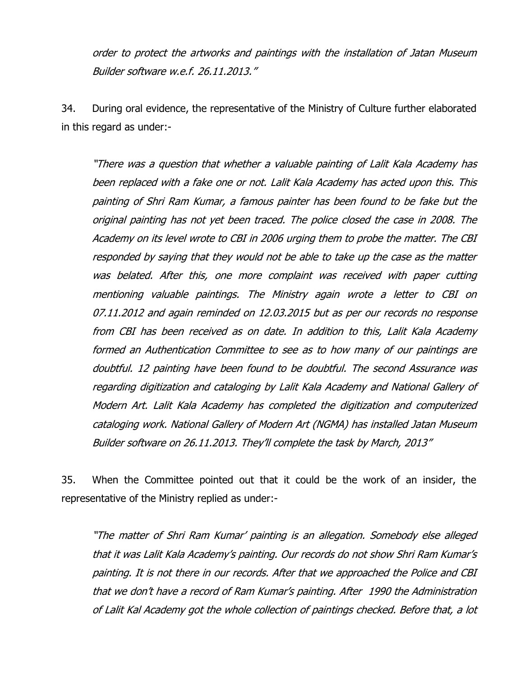order to protect the artworks and paintings with the installation of Jatan Museum Builder software w.e.f. 26.11.2013."

34. During oral evidence, the representative of the Ministry of Culture further elaborated in this regard as under:-

"There was a question that whether a valuable painting of Lalit Kala Academy has been replaced with a fake one or not. Lalit Kala Academy has acted upon this. This painting of Shri Ram Kumar, a famous painter has been found to be fake but the original painting has not yet been traced. The police closed the case in 2008. The Academy on its level wrote to CBI in 2006 urging them to probe the matter. The CBI responded by saying that they would not be able to take up the case as the matter was belated. After this, one more complaint was received with paper cutting mentioning valuable paintings. The Ministry again wrote a letter to CBI on 07.11.2012 and again reminded on 12.03.2015 but as per our records no response from CBI has been received as on date. In addition to this, Lalit Kala Academy formed an Authentication Committee to see as to how many of our paintings are doubtful. 12 painting have been found to be doubtful. The second Assurance was regarding digitization and cataloging by Lalit Kala Academy and National Gallery of Modern Art. Lalit Kala Academy has completed the digitization and computerized cataloging work. National Gallery of Modern Art (NGMA) has installed Jatan Museum Builder software on 26.11.2013. They"ll complete the task by March, 2013"

35. When the Committee pointed out that it could be the work of an insider, the representative of the Ministry replied as under:-

"The matter of Shri Ram Kumar" painting is an allegation. Somebody else alleged that it was Lalit Kala Academy"s painting. Our records do not show Shri Ram Kumar"s painting. It is not there in our records. After that we approached the Police and CBI that we don"t have a record of Ram Kumar"s painting. After 1990 the Administration of Lalit Kal Academy got the whole collection of paintings checked. Before that, a lot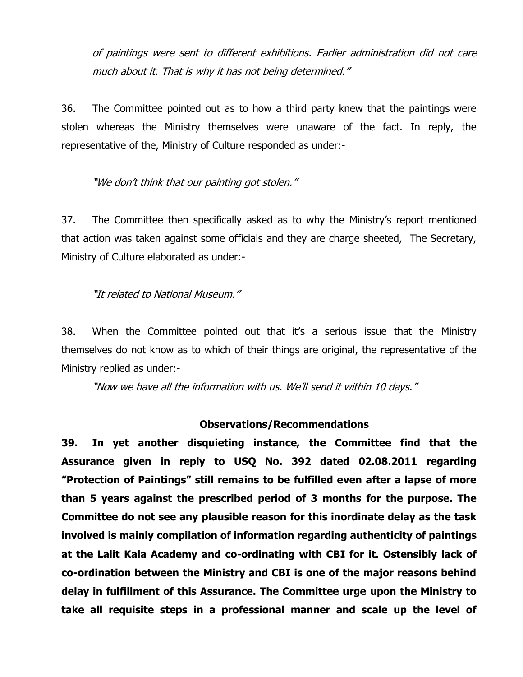of paintings were sent to different exhibitions. Earlier administration did not care much about it. That is why it has not being determined."

36. The Committee pointed out as to how a third party knew that the paintings were stolen whereas the Ministry themselves were unaware of the fact. In reply, the representative of the, Ministry of Culture responded as under:-

"We don"t think that our painting got stolen."

37. The Committee then specifically asked as to why the Ministry"s report mentioned that action was taken against some officials and they are charge sheeted, The Secretary, Ministry of Culture elaborated as under:-

"It related to National Museum."

38. When the Committee pointed out that it"s a serious issue that the Ministry themselves do not know as to which of their things are original, the representative of the Ministry replied as under:-

"Now we have all the information with us. We"ll send it within 10 days."

#### **Observations/Recommendations**

**39. In yet another disquieting instance, the Committee find that the Assurance given in reply to USQ No. 392 dated 02.08.2011 regarding "Protection of Paintings" still remains to be fulfilled even after a lapse of more than 5 years against the prescribed period of 3 months for the purpose. The Committee do not see any plausible reason for this inordinate delay as the task involved is mainly compilation of information regarding authenticity of paintings at the Lalit Kala Academy and co-ordinating with CBI for it. Ostensibly lack of co-ordination between the Ministry and CBI is one of the major reasons behind delay in fulfillment of this Assurance. The Committee urge upon the Ministry to take all requisite steps in a professional manner and scale up the level of**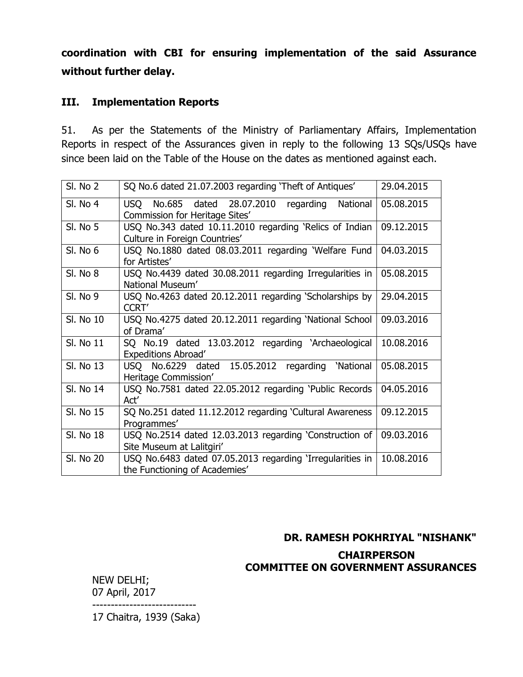**coordination with CBI for ensuring implementation of the said Assurance without further delay.**

## **III. Implementation Reports**

51. As per the Statements of the Ministry of Parliamentary Affairs, Implementation Reports in respect of the Assurances given in reply to the following 13 SQs/USQs have since been laid on the Table of the House on the dates as mentioned against each.

| <b>SI. No 2</b> | SQ No.6 dated 21.07.2003 regarding 'Theft of Antiques'                                      | 29.04.2015 |
|-----------------|---------------------------------------------------------------------------------------------|------------|
| <b>SI. No 4</b> | National<br>No.685 dated 28.07.2010<br>regarding<br>USO -<br>Commission for Heritage Sites' | 05.08.2015 |
| SI. No 5        | USQ No.343 dated 10.11.2010 regarding 'Relics of Indian<br>Culture in Foreign Countries'    | 09.12.2015 |
| SI. No 6        | USQ No.1880 dated 08.03.2011 regarding 'Welfare Fund<br>for Artistes'                       | 04.03.2015 |
| SI. No 8        | USQ No.4439 dated 30.08.2011 regarding Irregularities in<br>National Museum'                | 05.08.2015 |
| <b>SI. No 9</b> | USQ No.4263 dated 20.12.2011 regarding 'Scholarships by<br><b>CCRT'</b>                     | 29.04.2015 |
| SI, No 10       | USQ No.4275 dated 20.12.2011 regarding 'National School<br>of Drama'                        | 09.03.2016 |
| SI. No 11       | SQ No.19 dated 13.03.2012 regarding 'Archaeological<br><b>Expeditions Abroad'</b>           | 10.08.2016 |
| SI. No 13       | USQ No.6229 dated 15.05.2012<br>'National<br>regarding<br>Heritage Commission'              | 05.08.2015 |
| Sl. No 14       | USQ No.7581 dated 22.05.2012 regarding 'Public Records<br>Act'                              | 04.05.2016 |
| SI. No 15       | SQ No.251 dated 11.12.2012 regarding 'Cultural Awareness<br>Programmes'                     | 09.12.2015 |
| SI. No 18       | USQ No.2514 dated 12.03.2013 regarding 'Construction of<br>Site Museum at Lalitgiri'        | 09.03.2016 |
| SI, No 20       | USQ No.6483 dated 07.05.2013 regarding 'Irregularities in<br>the Functioning of Academies'  | 10.08.2016 |

# **DR. RAMESH POKHRIYAL "NISHANK" CHAIRPERSON COMMITTEE ON GOVERNMENT ASSURANCES**

NEW DELHI; 07 April, 2017 ----------------------------

17 Chaitra, 1939 (Saka)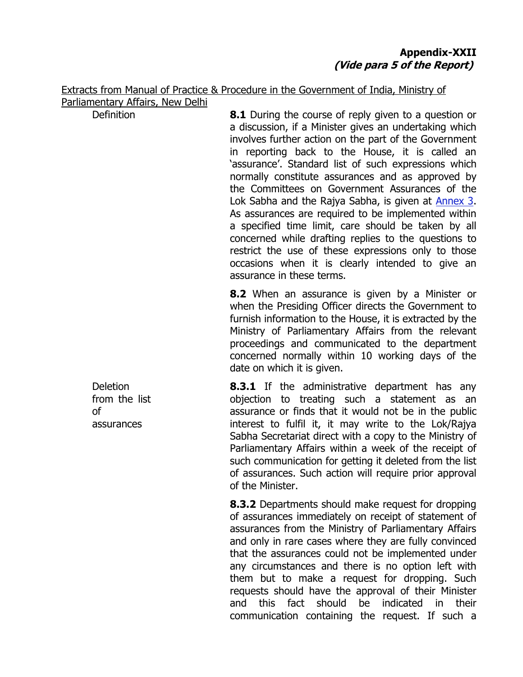Extracts from Manual of Practice & Procedure in the Government of India, Ministry of Parliamentary Affairs, New Delhi

Definition **8.1** During the course of reply given to a question or a discussion, if a Minister gives an undertaking which involves further action on the part of the Government in reporting back to the House, it is called an "assurance". Standard list of such expressions which normally constitute assurances and as approved by the Committees on Government Assurances of the Lok Sabha and the Rajya Sabha, is given at [Annex 3.](http://www.mpa.nic.in/Manual/Manual_English/Annexure/annex-03.htm) As assurances are required to be implemented within a specified time limit, care should be taken by all concerned while drafting replies to the questions to restrict the use of these expressions only to those occasions when it is clearly intended to give an assurance in these terms.

> **8.2** When an assurance is given by a Minister or when the Presiding Officer directs the Government to furnish information to the House, it is extracted by the Ministry of Parliamentary Affairs from the relevant proceedings and communicated to the department concerned normally within 10 working days of the date on which it is given.

**8.3.1** If the administrative department has any objection to treating such a statement as an assurance or finds that it would not be in the public interest to fulfil it, it may write to the Lok/Rajya Sabha Secretariat direct with a copy to the Ministry of Parliamentary Affairs within a week of the receipt of such communication for getting it deleted from the list of assurances. Such action will require prior approval of the Minister.

**8.3.2** Departments should make request for dropping of assurances immediately on receipt of statement of assurances from the Ministry of Parliamentary Affairs and only in rare cases where they are fully convinced that the assurances could not be implemented under any circumstances and there is no option left with them but to make a request for dropping. Such requests should have the approval of their Minister and this fact should be indicated in their communication containing the request. If such a

**Deletion** from the list of assurances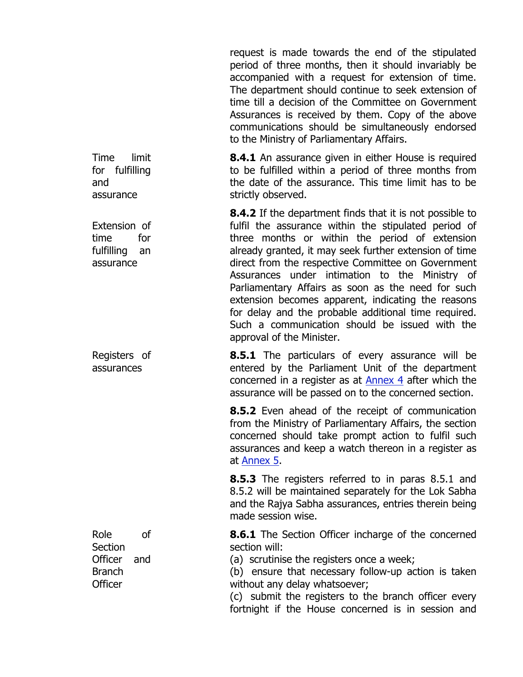request is made towards the end of the stipulated period of three months, then it should invariably be accompanied with a request for extension of time. The department should continue to seek extension of time till a decision of the Committee on Government Assurances is received by them. Copy of the above communications should be simultaneously endorsed to the Ministry of Parliamentary Affairs.

**8.4.1** An assurance given in either House is required to be fulfilled within a period of three months from the date of the assurance. This time limit has to be strictly observed.

> **8.4.2** If the department finds that it is not possible to fulfil the assurance within the stipulated period of three months or within the period of extension already granted, it may seek further extension of time direct from the respective Committee on Government Assurances under intimation to the Ministry of Parliamentary Affairs as soon as the need for such extension becomes apparent, indicating the reasons for delay and the probable additional time required. Such a communication should be issued with the approval of the Minister.

> **8.5.1** The particulars of every assurance will be entered by the Parliament Unit of the department concerned in a register as at [Annex 4](http://www.mpa.nic.in/Manual/Manual_English/Annexure/annex-04.htm) after which the assurance will be passed on to the concerned section.

> **8.5.2** Even ahead of the receipt of communication from the Ministry of Parliamentary Affairs, the section concerned should take prompt action to fulfil such assurances and keep a watch thereon in a register as at [Annex 5.](http://www.mpa.nic.in/Manual/Manual_English/Annexure/annex-05.htm)

> **8.5.3** The registers referred to in paras 8.5.1 and 8.5.2 will be maintained separately for the Lok Sabha and the Rajya Sabha assurances, entries therein being made session wise.

> **8.6.1** The Section Officer incharge of the concerned section will:

(a) scrutinise the registers once a week;

(b) ensure that necessary follow-up action is taken without any delay whatsoever;

(c) submit the registers to the branch officer every fortnight if the House concerned is in session and

Time limit for fulfilling and assurance

Extension of time for fulfilling an assurance

Registers of assurances

Role of **Section** Officer and Branch **Officer**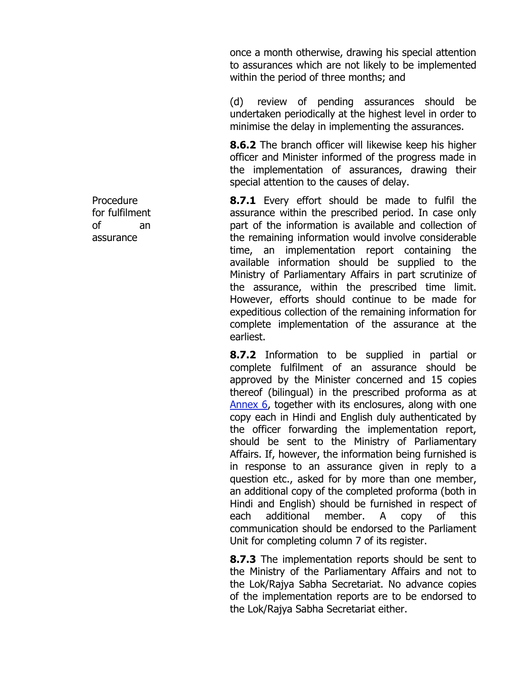once a month otherwise, drawing his special attention to assurances which are not likely to be implemented within the period of three months; and

(d) review of pending assurances should be undertaken periodically at the highest level in order to minimise the delay in implementing the assurances.

**8.6.2** The branch officer will likewise keep his higher officer and Minister informed of the progress made in the implementation of assurances, drawing their special attention to the causes of delay.

**8.7.1** Every effort should be made to fulfil the assurance within the prescribed period. In case only part of the information is available and collection of the remaining information would involve considerable time, an implementation report containing the available information should be supplied to the Ministry of Parliamentary Affairs in part scrutinize of the assurance, within the prescribed time limit. However, efforts should continue to be made for expeditious collection of the remaining information for complete implementation of the assurance at the earliest.

**8.7.2** Information to be supplied in partial or complete fulfilment of an assurance should be approved by the Minister concerned and 15 copies thereof (bilingual) in the prescribed proforma as at [Annex 6,](http://www.mpa.nic.in/Manual/Manual_English/Annexure/annex-06.htm) together with its enclosures, along with one copy each in Hindi and English duly authenticated by the officer forwarding the implementation report, should be sent to the Ministry of Parliamentary Affairs. If, however, the information being furnished is in response to an assurance given in reply to a question etc., asked for by more than one member, an additional copy of the completed proforma (both in Hindi and English) should be furnished in respect of each additional member. A copy of this communication should be endorsed to the Parliament Unit for completing column 7 of its register.

**8.7.3** The implementation reports should be sent to the Ministry of the Parliamentary Affairs and not to the Lok/Rajya Sabha Secretariat. No advance copies of the implementation reports are to be endorsed to the Lok/Rajya Sabha Secretariat either.

Procedure for fulfilment of an assurance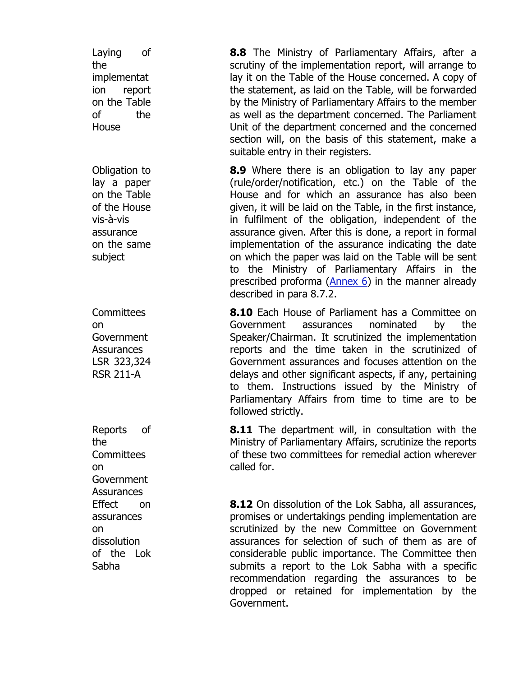Laying of the implementat ion report on the Table of the House Obligation to lay a paper on the Table of the House vis-à-vis assurance on the same subject **Committees** on **Government Assurances** LSR 323,324 RSR 211-A Reports of the **Committees** on **Government Assurances** Effect on assurances on dissolution of the Lok Sabha

**8.8** The Ministry of Parliamentary Affairs, after a scrutiny of the implementation report, will arrange to lay it on the Table of the House concerned. A copy of the statement, as laid on the Table, will be forwarded by the Ministry of Parliamentary Affairs to the member as well as the department concerned. The Parliament Unit of the department concerned and the concerned section will, on the basis of this statement, make a suitable entry in their registers.

**8.9** Where there is an obligation to lay any paper (rule/order/notification, etc.) on the Table of the House and for which an assurance has also been given, it will be laid on the Table, in the first instance, in fulfilment of the obligation, independent of the assurance given. After this is done, a report in formal implementation of the assurance indicating the date on which the paper was laid on the Table will be sent to the Ministry of Parliamentary Affairs in the prescribed proforma  $(Anhex 6)$  in the manner already described in para 8.7.2.

**8.10** Each House of Parliament has a Committee on Government assurances nominated by the Speaker/Chairman. It scrutinized the implementation reports and the time taken in the scrutinized of Government assurances and focuses attention on the delays and other significant aspects, if any, pertaining to them. Instructions issued by the Ministry of Parliamentary Affairs from time to time are to be followed strictly.

**8.11** The department will, in consultation with the Ministry of Parliamentary Affairs, scrutinize the reports of these two committees for remedial action wherever called for.

**8.12** On dissolution of the Lok Sabha, all assurances, promises or undertakings pending implementation are scrutinized by the new Committee on Government assurances for selection of such of them as are of considerable public importance. The Committee then submits a report to the Lok Sabha with a specific recommendation regarding the assurances to be dropped or retained for implementation by the Government.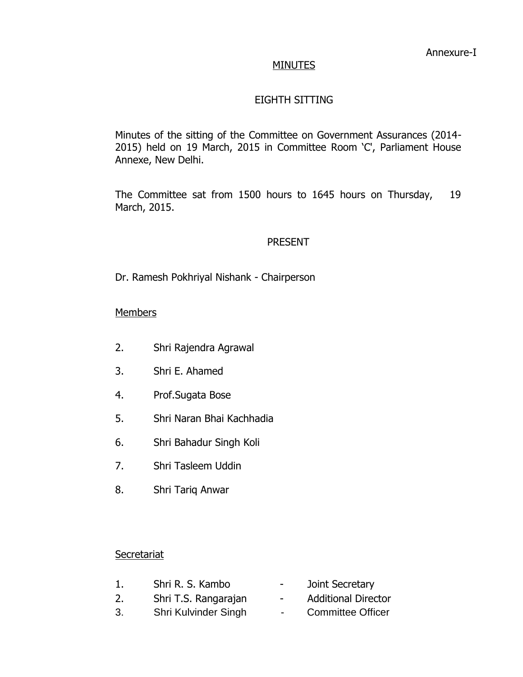### **MINUTES**

# EIGHTH SITTING

Minutes of the sitting of the Committee on Government Assurances (2014- 2015) held on 19 March, 2015 in Committee Room "C', Parliament House Annexe, New Delhi.

The Committee sat from 1500 hours to 1645 hours on Thursday, 19 March, 2015.

### PRESENT

Dr. Ramesh Pokhriyal Nishank - Chairperson

### **Members**

- 2. Shri Rajendra Agrawal
- 3. Shri E. Ahamed
- 4. Prof.Sugata Bose
- 5. Shri Naran Bhai Kachhadia
- 6. Shri Bahadur Singh Koli
- 7. Shri Tasleem Uddin
- 8. Shri Tariq Anwar

#### **Secretariat**

1. Shri R. S. Kambo **-** Joint Secretary 2. Shri T.S. Rangarajan - Additional Director 3. Shri Kulvinder Singh - Committee Officer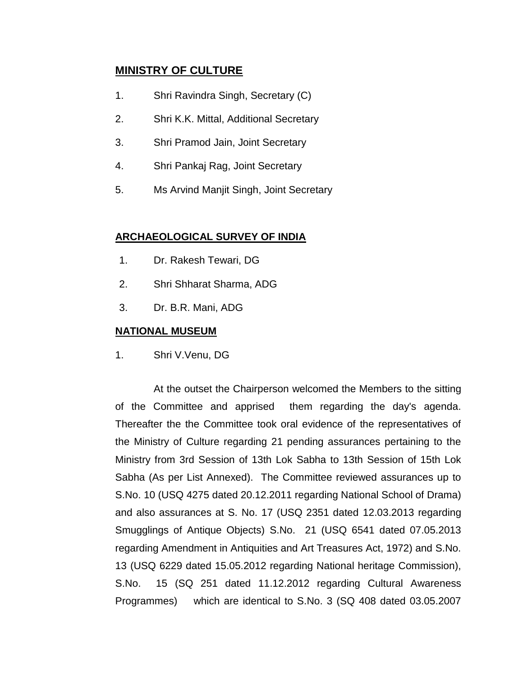## **MINISTRY OF CULTURE**

- 1. Shri Ravindra Singh, Secretary (C)
- 2. Shri K.K. Mittal, Additional Secretary
- 3. Shri Pramod Jain, Joint Secretary
- 4. Shri Pankaj Rag, Joint Secretary
- 5. Ms Arvind Manjit Singh, Joint Secretary

#### **ARCHAEOLOGICAL SURVEY OF INDIA**

- 1. Dr. Rakesh Tewari, DG
- 2. Shri Shharat Sharma, ADG
- 3. Dr. B.R. Mani, ADG

#### **NATIONAL MUSEUM**

1. Shri V.Venu, DG

At the outset the Chairperson welcomed the Members to the sitting of the Committee and apprised them regarding the day's agenda. Thereafter the the Committee took oral evidence of the representatives of the Ministry of Culture regarding 21 pending assurances pertaining to the Ministry from 3rd Session of 13th Lok Sabha to 13th Session of 15th Lok Sabha (As per List Annexed). The Committee reviewed assurances up to S.No. 10 (USQ 4275 dated 20.12.2011 regarding National School of Drama) and also assurances at S. No. 17 (USQ 2351 dated 12.03.2013 regarding Smugglings of Antique Objects) S.No. 21 (USQ 6541 dated 07.05.2013 regarding Amendment in Antiquities and Art Treasures Act, 1972) and S.No. 13 (USQ 6229 dated 15.05.2012 regarding National heritage Commission), S.No. 15 (SQ 251 dated 11.12.2012 regarding Cultural Awareness Programmes) which are identical to S.No. 3 (SQ 408 dated 03.05.2007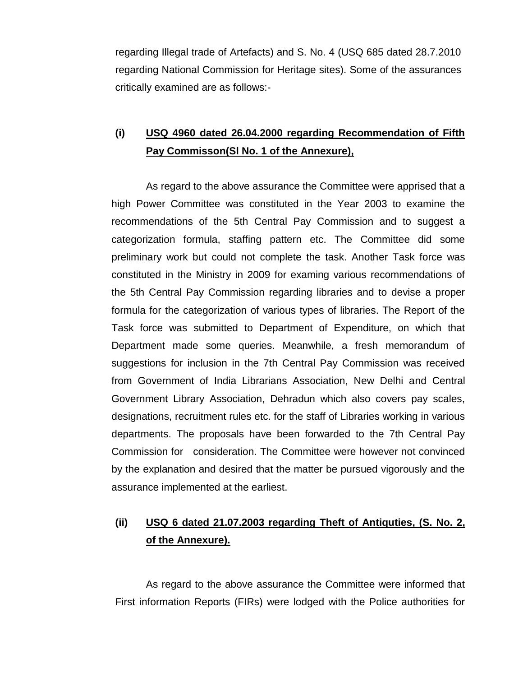regarding Illegal trade of Artefacts) and S. No. 4 (USQ 685 dated 28.7.2010 regarding National Commission for Heritage sites). Some of the assurances critically examined are as follows:-

# **(i) USQ 4960 dated 26.04.2000 regarding Recommendation of Fifth Pay Commisson(Sl No. 1 of the Annexure),**

As regard to the above assurance the Committee were apprised that a high Power Committee was constituted in the Year 2003 to examine the recommendations of the 5th Central Pay Commission and to suggest a categorization formula, staffing pattern etc. The Committee did some preliminary work but could not complete the task. Another Task force was constituted in the Ministry in 2009 for examing various recommendations of the 5th Central Pay Commission regarding libraries and to devise a proper formula for the categorization of various types of libraries. The Report of the Task force was submitted to Department of Expenditure, on which that Department made some queries. Meanwhile, a fresh memorandum of suggestions for inclusion in the 7th Central Pay Commission was received from Government of India Librarians Association, New Delhi and Central Government Library Association, Dehradun which also covers pay scales, designations, recruitment rules etc. for the staff of Libraries working in various departments. The proposals have been forwarded to the 7th Central Pay Commission for consideration. The Committee were however not convinced by the explanation and desired that the matter be pursued vigorously and the assurance implemented at the earliest.

# **(ii) USQ 6 dated 21.07.2003 regarding Theft of Antiquties, (S. No. 2, of the Annexure).**

As regard to the above assurance the Committee were informed that First information Reports (FIRs) were lodged with the Police authorities for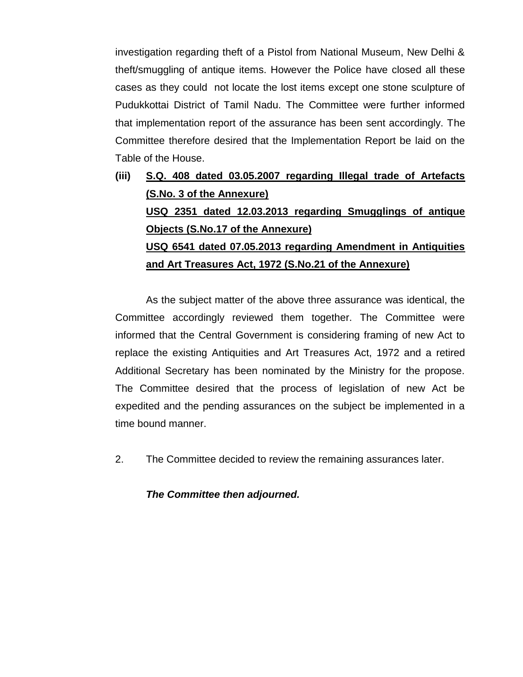investigation regarding theft of a Pistol from National Museum, New Delhi & theft/smuggling of antique items. However the Police have closed all these cases as they could not locate the lost items except one stone sculpture of Pudukkottai District of Tamil Nadu. The Committee were further informed that implementation report of the assurance has been sent accordingly. The Committee therefore desired that the Implementation Report be laid on the Table of the House.

**(iii) S.Q. 408 dated 03.05.2007 regarding Illegal trade of Artefacts (S.No. 3 of the Annexure) USQ 2351 dated 12.03.2013 regarding Smugglings of antique Objects (S.No.17 of the Annexure) USQ 6541 dated 07.05.2013 regarding Amendment in Antiquities and Art Treasures Act, 1972 (S.No.21 of the Annexure)**

As the subject matter of the above three assurance was identical, the Committee accordingly reviewed them together. The Committee were informed that the Central Government is considering framing of new Act to replace the existing Antiquities and Art Treasures Act, 1972 and a retired Additional Secretary has been nominated by the Ministry for the propose. The Committee desired that the process of legislation of new Act be expedited and the pending assurances on the subject be implemented in a time bound manner.

2. The Committee decided to review the remaining assurances later.

*The Committee then adjourned.*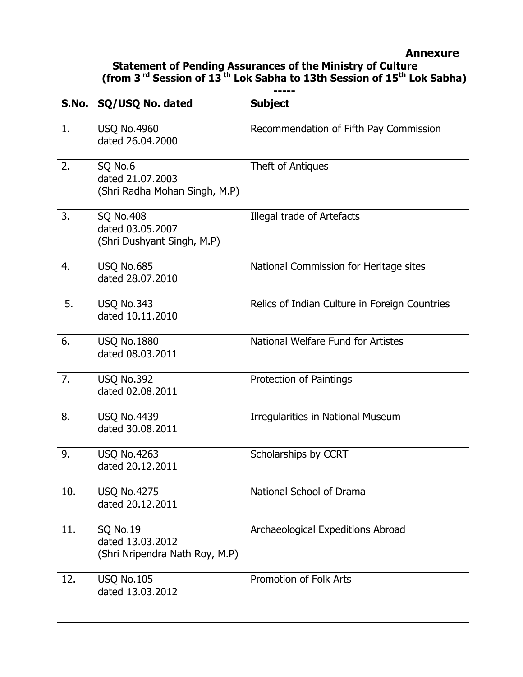## **Annexure**

#### **Statement of Pending Assurances of the Ministry of Culture (from 3 rd Session of 13 th Lok Sabha to 13th Session of 15th Lok Sabha) -----**

| S.No. | SQ/USQ No. dated                                                      | <b>Subject</b>                                |
|-------|-----------------------------------------------------------------------|-----------------------------------------------|
| 1.    | <b>USQ No.4960</b><br>dated 26.04.2000                                | Recommendation of Fifth Pay Commission        |
| 2.    | SQ No.6<br>dated 21.07.2003<br>(Shri Radha Mohan Singh, M.P)          | Theft of Antiques                             |
| 3.    | <b>SQ No.408</b><br>dated 03.05.2007<br>(Shri Dushyant Singh, M.P)    | Illegal trade of Artefacts                    |
| 4.    | <b>USQ No.685</b><br>dated 28.07.2010                                 | National Commission for Heritage sites        |
| 5.    | <b>USQ No.343</b><br>dated 10.11.2010                                 | Relics of Indian Culture in Foreign Countries |
| 6.    | <b>USQ No.1880</b><br>dated 08.03.2011                                | National Welfare Fund for Artistes            |
| 7.    | <b>USQ No.392</b><br>dated 02.08.2011                                 | Protection of Paintings                       |
| 8.    | <b>USQ No.4439</b><br>dated 30.08.2011                                | Irregularities in National Museum             |
| 9.    | <b>USQ No.4263</b><br>dated 20.12.2011                                | Scholarships by CCRT                          |
| 10.   | <b>USQ No.4275</b><br>dated 20.12.2011                                | National School of Drama                      |
| 11.   | <b>SQ No.19</b><br>dated 13.03.2012<br>(Shri Nripendra Nath Roy, M.P) | Archaeological Expeditions Abroad             |
| 12.   | <b>USQ No.105</b><br>dated 13.03.2012                                 | Promotion of Folk Arts                        |